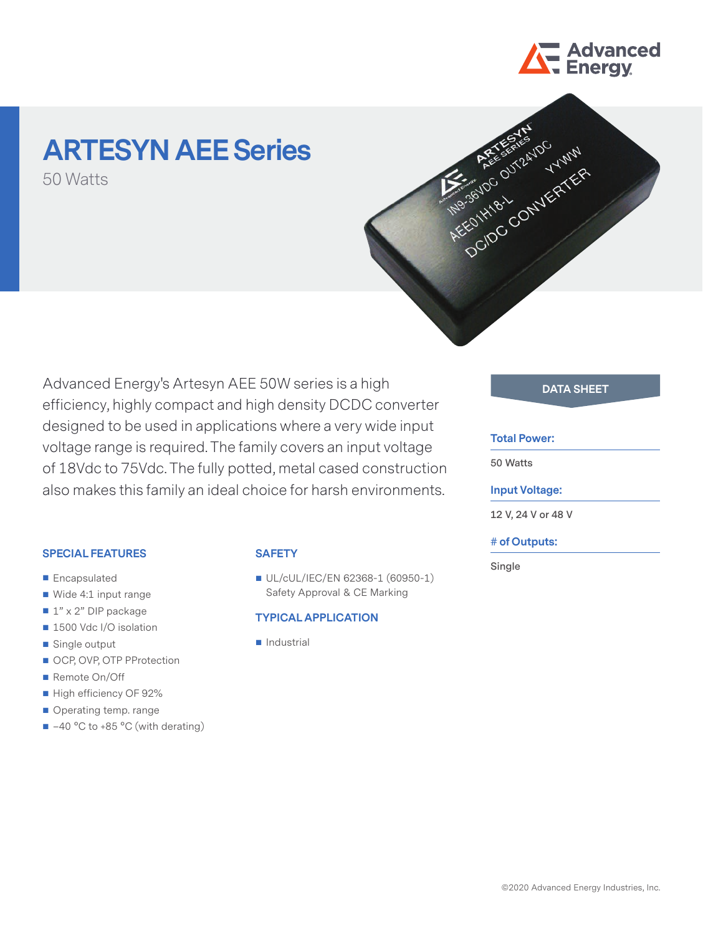

# **ARTESYN AEE Series**

50 Watts



Advanced Energy's Artesyn AEE 50W series is a high efficiency, highly compact and high density DCDC converter designed to be used in applications where a very wide input voltage range is required. The family covers an input voltage of 18Vdc to 75Vdc. The fully potted, metal cased construction also makes this family an ideal choice for harsh environments.

### **SPECIAL FEATURES**

- **Encapsulated**
- Wide 4:1 input range
- $1" \times 2"$  DIP package
- 1500 Vdc I/O isolation
- Single output
- OCP, OVP, OTP PProtection
- Remote On/Off
- High efficiency OF 92%
- Operating temp. range
- -40 °C to +85 °C (with derating)

## **SAFETY**

UL/cUL/IEC/EN 62368-1 (60950-1) Safety Approval & CE Marking

## **TYPICAL APPLICATION**

**Industrial** 

# **DATA SHEET**

## **Total Power:**

**50 Watts**

## **Input Voltage:**

**12 V, 24 V or 48 V**

## **# of Outputs:**

**Single**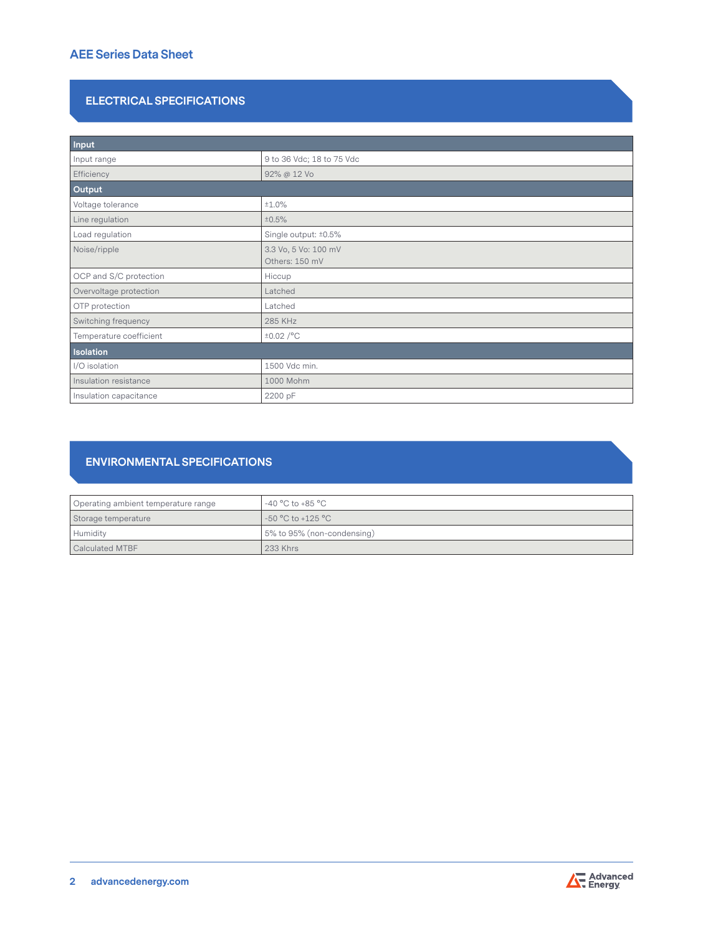# **ELECTRICAL SPECIFICATIONS**

| Input                   |                                        |  |
|-------------------------|----------------------------------------|--|
| Input range             | 9 to 36 Vdc; 18 to 75 Vdc              |  |
| Efficiency              | 92% @ 12 Vo                            |  |
| Output                  |                                        |  |
| Voltage tolerance       | ±1.0%                                  |  |
| Line regulation         | ±0.5%                                  |  |
| Load regulation         | Single output: ±0.5%                   |  |
| Noise/ripple            | 3.3 Vo, 5 Vo: 100 mV<br>Others: 150 mV |  |
| OCP and S/C protection  | Hiccup                                 |  |
| Overvoltage protection  | Latched                                |  |
| OTP protection          | Latched                                |  |
| Switching frequency     | 285 KHz                                |  |
| Temperature coefficient | $\pm 0.02$ /°C                         |  |
| <b>Isolation</b>        |                                        |  |
| I/O isolation           | 1500 Vdc min.                          |  |
| Insulation resistance   | 1000 Mohm                              |  |
| Insulation capacitance  | 2200 pF                                |  |

# **ENVIRONMENTAL SPECIFICATIONS**

| Operating ambient temperature range | $-40 °C$ to $+85 °C$       |
|-------------------------------------|----------------------------|
| Storage temperature                 | -50 °C to +125 °C          |
| Humidity                            | 5% to 95% (non-condensing) |
| Calculated MTBF                     | <b>233 Khrs</b>            |

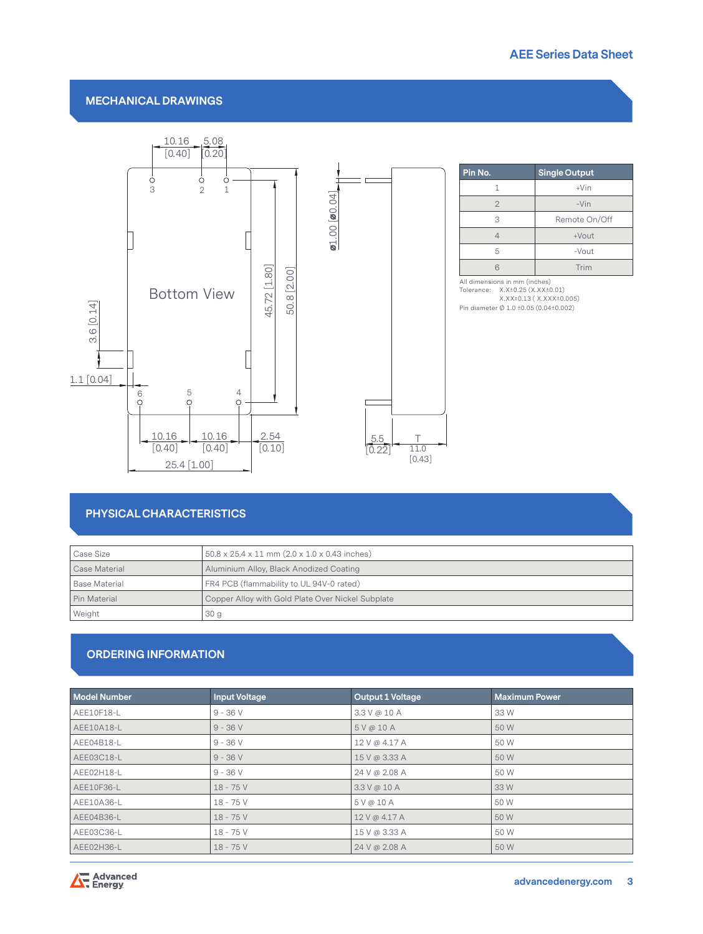## **MECHANICAL DRAWINGS**



| Pin No.        | <b>Single Output</b> |  |
|----------------|----------------------|--|
| 1              | $+V$ in              |  |
| $\mathfrak{D}$ | $-Vin$               |  |
| 3              | Remote On/Off        |  |
|                | $+$ Vout             |  |
| 5              | -Vout                |  |
|                | Trim                 |  |

All dimensions in mm (inches) Tolerance: X.X±0.25 (X.XX±0.01) X.XX±0.13 ( X.XXX±0.005) Pin diameter Ø 1.0 ±0.05 (0.04±0.002)

## **PHYSICAL CHARACTERISTICS**

| Case Size     | $50.8 \times 25.4 \times 11$ mm $(2.0 \times 1.0 \times 0.43$ inches) |  |
|---------------|-----------------------------------------------------------------------|--|
| Case Material | Aluminium Alloy, Black Anodized Coating                               |  |
| Base Material | FR4 PCB (flammability to UL 94V-0 rated)                              |  |
| Pin Material  | Copper Alloy with Gold Plate Over Nickel Subplate                     |  |
| Weight        | 30 <sub>q</sub>                                                       |  |

## **ORDERING INFORMATION**

| <b>Model Number</b> | <b>Input Voltage</b> | <b>Output 1 Voltage</b> | <b>Maximum Power</b> |
|---------------------|----------------------|-------------------------|----------------------|
| AEE10F18-L          | $9 - 36 V$           | 3.3 V @ 10 A            | 33 W                 |
| AEE10A18-L          | $9 - 36V$            | 5V@10A                  | 50 W                 |
| AEE04B18-L          | $9 - 36V$            | 12 V @ 4.17 A           | 50 W                 |
| AEE03C18-L          | $9 - 36V$            | 15 V @ 3.33 A           | 50 W                 |
| AEE02H18-L          | $9 - 36 V$           | 24 V @ 2.08 A           | 50 W                 |
| AEE10F36-L          | $18 - 75V$           | 3.3 V @ 10 A            | 33 W                 |
| AEE10A36-L          | $18 - 75V$           | 5 V @ 10 A              | 50 W                 |
| AEE04B36-L          | $18 - 75V$           | 12 V @ 4.17 A           | 50 W                 |
| AEE03C36-L          | $18 - 75V$           | 15 V @ 3.33 A           | 50 W                 |
| AEE02H36-L          | $18 - 75V$           | 24 V @ 2.08 A           | 50 W                 |

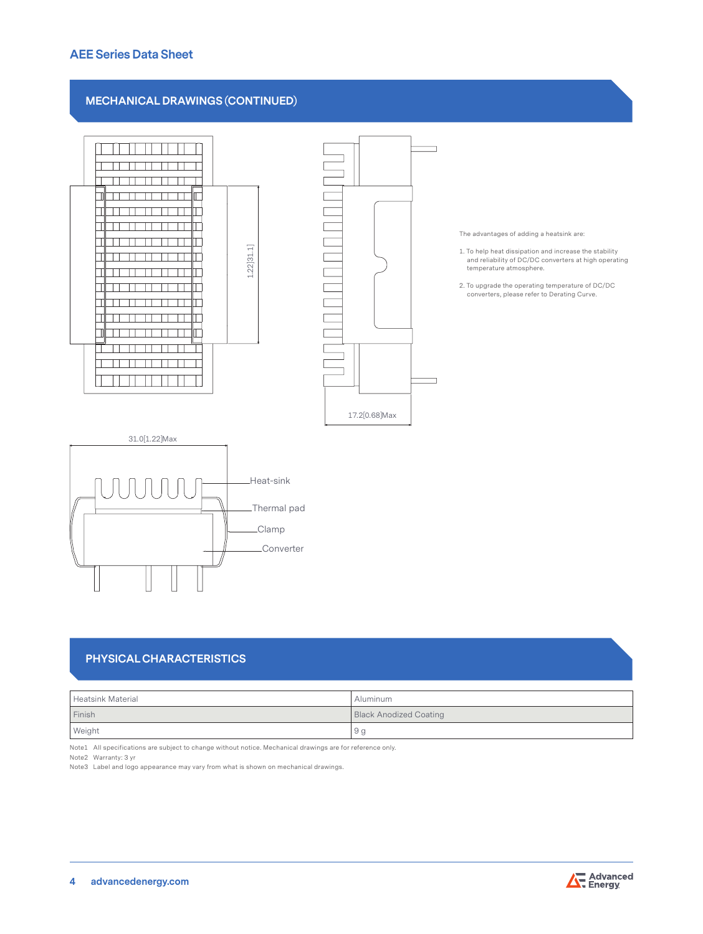## **AEE Series Data Sheet**

## **MECHANICAL DRAWINGS (CONTINUED)**



Converter

The advantages of adding a heatsink are:

- 1. To help heat dissipation and increase the stability and reliability of DC/DC converters at high operating temperature atmosphere.
- 2. To upgrade the operating temperature of DC/DC converters, please refer to Derating Curve.

# **PHYSICAL CHARACTERISTICS**

| Heatsink Material | Aluminum                      |
|-------------------|-------------------------------|
| Finish            | <b>Black Anodized Coating</b> |
| Weight            | 9 g                           |

Note1 All specifications are subject to change without notice. Mechanical drawings are for reference only.

Note2 Warranty: 3 yr

Note3 Label and logo appearance may vary from what is shown on mechanical drawings.